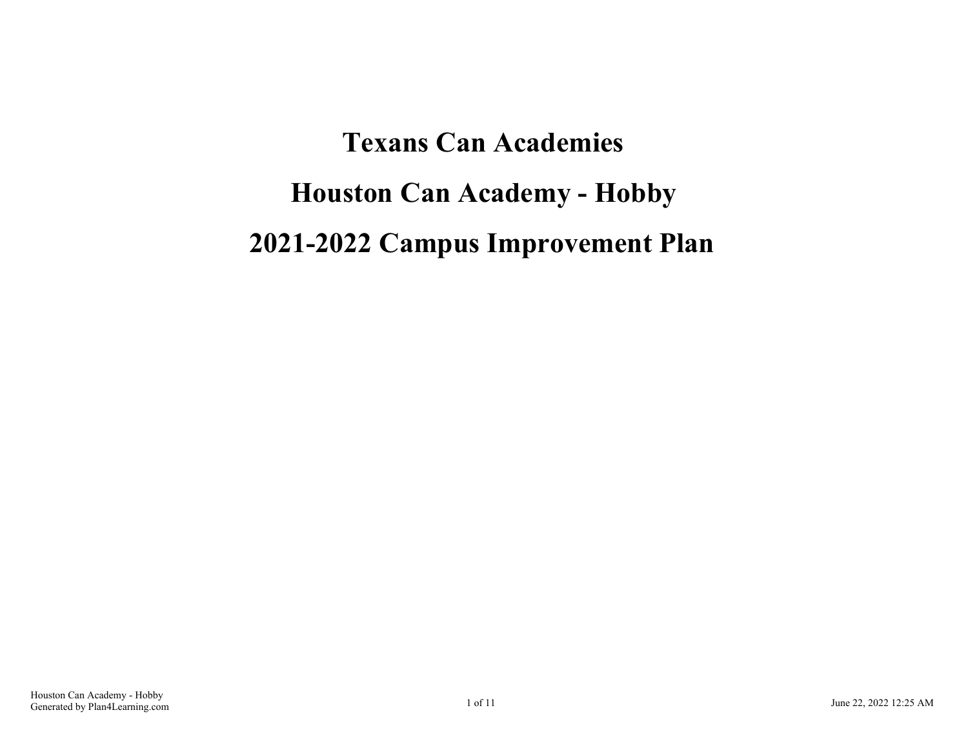**Texans Can Academies Houston Can Academy - Hobby 2021-2022 Campus Improvement Plan**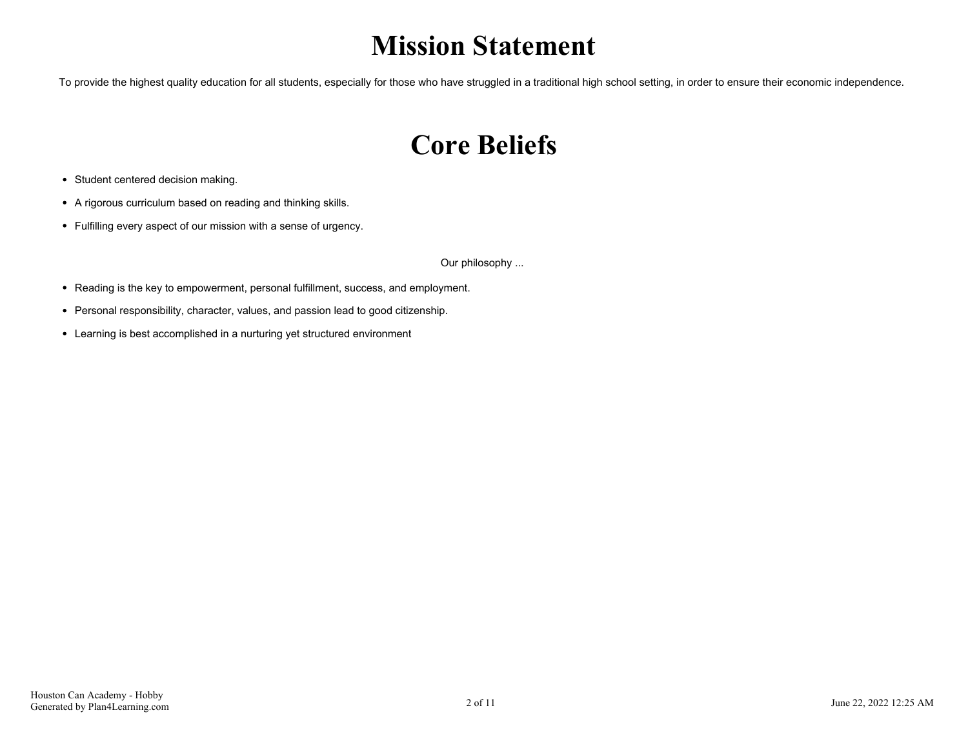# **Mission Statement**

To provide the highest quality education for all students, especially for those who have struggled in a traditional high school setting, in order to ensure their economic independence.

# **Core Beliefs**

- Student centered decision making.
- A rigorous curriculum based on reading and thinking skills.
- Fulfilling every aspect of our mission with a sense of urgency.

Our philosophy ...

- Reading is the key to empowerment, personal fulfillment, success, and employment.
- Personal responsibility, character, values, and passion lead to good citizenship.
- Learning is best accomplished in a nurturing yet structured environment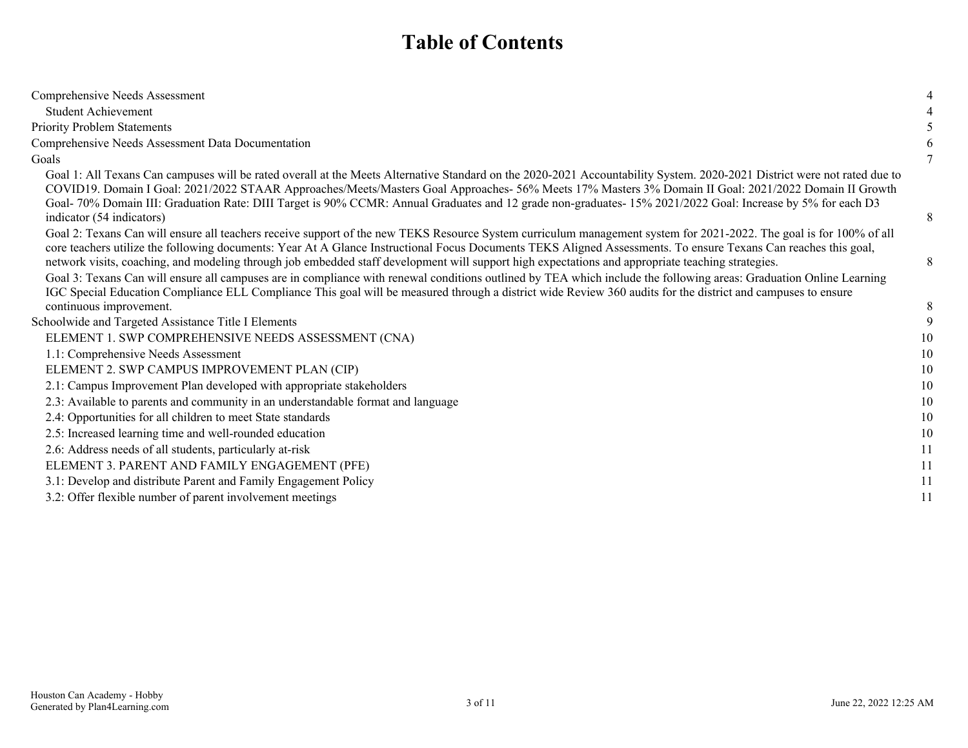## **Table of Contents**

| Comprehensive Needs Assessment                                                                                                                                                                                                                                                                                                                                                                                                                                                                                                |    |
|-------------------------------------------------------------------------------------------------------------------------------------------------------------------------------------------------------------------------------------------------------------------------------------------------------------------------------------------------------------------------------------------------------------------------------------------------------------------------------------------------------------------------------|----|
| <b>Student Achievement</b>                                                                                                                                                                                                                                                                                                                                                                                                                                                                                                    |    |
| <b>Priority Problem Statements</b>                                                                                                                                                                                                                                                                                                                                                                                                                                                                                            |    |
| Comprehensive Needs Assessment Data Documentation                                                                                                                                                                                                                                                                                                                                                                                                                                                                             |    |
| Goals                                                                                                                                                                                                                                                                                                                                                                                                                                                                                                                         |    |
| Goal 1: All Texans Can campuses will be rated overall at the Meets Alternative Standard on the 2020-2021 Accountability System. 2020-2021 District were not rated due to<br>COVID19. Domain I Goal: 2021/2022 STAAR Approaches/Meets/Masters Goal Approaches- 56% Meets 17% Masters 3% Domain II Goal: 2021/2022 Domain II Growth<br>Goal- 70% Domain III: Graduation Rate: DIII Target is 90% CCMR: Annual Graduates and 12 grade non-graduates- 15% 2021/2022 Goal: Increase by 5% for each D3<br>indicator (54 indicators) | 8  |
| Goal 2: Texans Can will ensure all teachers receive support of the new TEKS Resource System curriculum management system for 2021-2022. The goal is for 100% of all<br>core teachers utilize the following documents: Year At A Glance Instructional Focus Documents TEKS Aligned Assessments. To ensure Texans Can reaches this goal,<br>network visits, coaching, and modeling through job embedded staff development will support high expectations and appropriate teaching strategies.                                   | 8  |
| Goal 3: Texans Can will ensure all campuses are in compliance with renewal conditions outlined by TEA which include the following areas: Graduation Online Learning<br>IGC Special Education Compliance ELL Compliance This goal will be measured through a district wide Review 360 audits for the district and campuses to ensure<br>continuous improvement.                                                                                                                                                                | 8  |
| Schoolwide and Targeted Assistance Title I Elements                                                                                                                                                                                                                                                                                                                                                                                                                                                                           | 9  |
| ELEMENT 1. SWP COMPREHENSIVE NEEDS ASSESSMENT (CNA)                                                                                                                                                                                                                                                                                                                                                                                                                                                                           | 10 |
| 1.1: Comprehensive Needs Assessment                                                                                                                                                                                                                                                                                                                                                                                                                                                                                           | 10 |
| ELEMENT 2. SWP CAMPUS IMPROVEMENT PLAN (CIP)                                                                                                                                                                                                                                                                                                                                                                                                                                                                                  | 10 |
| 2.1: Campus Improvement Plan developed with appropriate stakeholders                                                                                                                                                                                                                                                                                                                                                                                                                                                          | 10 |
| 2.3: Available to parents and community in an understandable format and language                                                                                                                                                                                                                                                                                                                                                                                                                                              | 10 |
| 2.4: Opportunities for all children to meet State standards                                                                                                                                                                                                                                                                                                                                                                                                                                                                   | 10 |
| 2.5: Increased learning time and well-rounded education                                                                                                                                                                                                                                                                                                                                                                                                                                                                       | 10 |
| 2.6: Address needs of all students, particularly at-risk                                                                                                                                                                                                                                                                                                                                                                                                                                                                      | 11 |
| ELEMENT 3. PARENT AND FAMILY ENGAGEMENT (PFE)                                                                                                                                                                                                                                                                                                                                                                                                                                                                                 | 11 |
| 3.1: Develop and distribute Parent and Family Engagement Policy                                                                                                                                                                                                                                                                                                                                                                                                                                                               | 11 |
| 3.2: Offer flexible number of parent involvement meetings                                                                                                                                                                                                                                                                                                                                                                                                                                                                     | 11 |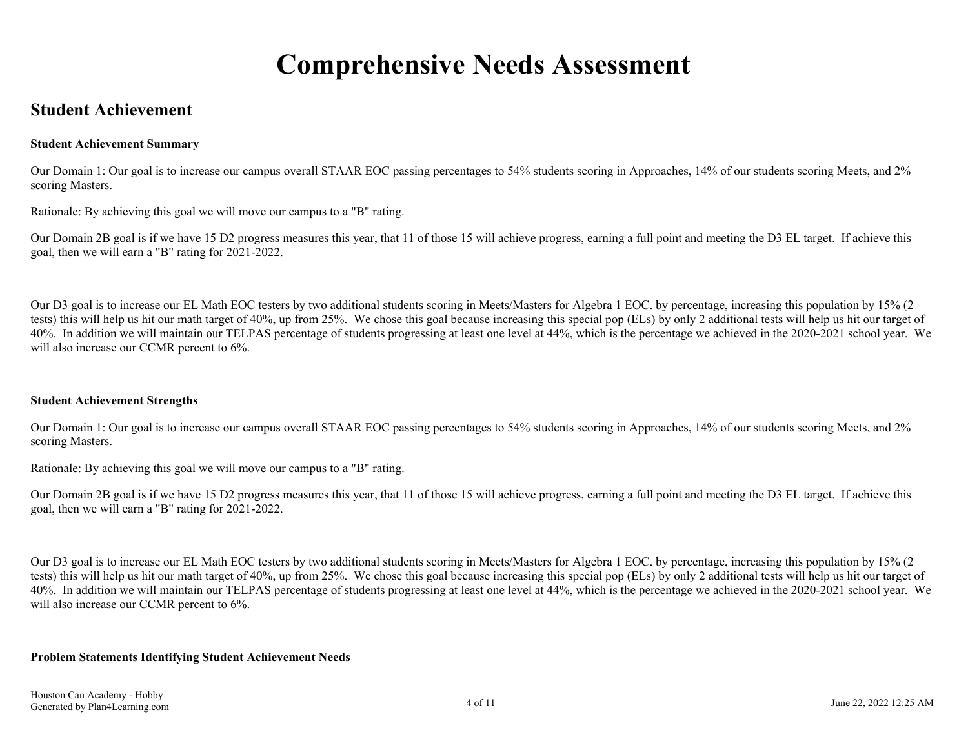# **Comprehensive Needs Assessment**

### <span id="page-3-0"></span>**Student Achievement**

#### **Student Achievement Summary**

Our Domain 1: Our goal is to increase our campus overall STAAR EOC passing percentages to 54% students scoring in Approaches, 14% of our students scoring Meets, and 2% scoring Masters.

Rationale: By achieving this goal we will move our campus to a "B" rating.

Our Domain 2B goal is if we have 15 D2 progress measures this year, that 11 of those 15 will achieve progress, earning a full point and meeting the D3 EL target. If achieve this goal, then we will earn a "B" rating for 2021-2022.

Our D3 goal is to increase our EL Math EOC testers by two additional students scoring in Meets/Masters for Algebra 1 EOC. by percentage, increasing this population by 15% (2 tests) this will help us hit our math target of 40%, up from 25%. We chose this goal because increasing this special pop (ELs) by only 2 additional tests will help us hit our target of 40%. In addition we will maintain our TELPAS percentage of students progressing at least one level at 44%, which is the percentage we achieved in the 2020-2021 school year. We will also increase our CCMR percent to  $6\%$ .

#### **Student Achievement Strengths**

Our Domain 1: Our goal is to increase our campus overall STAAR EOC passing percentages to 54% students scoring in Approaches, 14% of our students scoring Meets, and 2% scoring Masters.

Rationale: By achieving this goal we will move our campus to a "B" rating.

Our Domain 2B goal is if we have 15 D2 progress measures this year, that 11 of those 15 will achieve progress, earning a full point and meeting the D3 EL target. If achieve this goal, then we will earn a "B" rating for 2021-2022.

Our D3 goal is to increase our EL Math EOC testers by two additional students scoring in Meets/Masters for Algebra 1 EOC. by percentage, increasing this population by 15% (2 tests) this will help us hit our math target of 40%, up from 25%. We chose this goal because increasing this special pop (ELs) by only 2 additional tests will help us hit our target of 40%. In addition we will maintain our TELPAS percentage of students progressing at least one level at 44%, which is the percentage we achieved in the 2020-2021 school year. We will also increase our CCMR percent to  $6\%$ .

#### **Problem Statements Identifying Student Achievement Needs**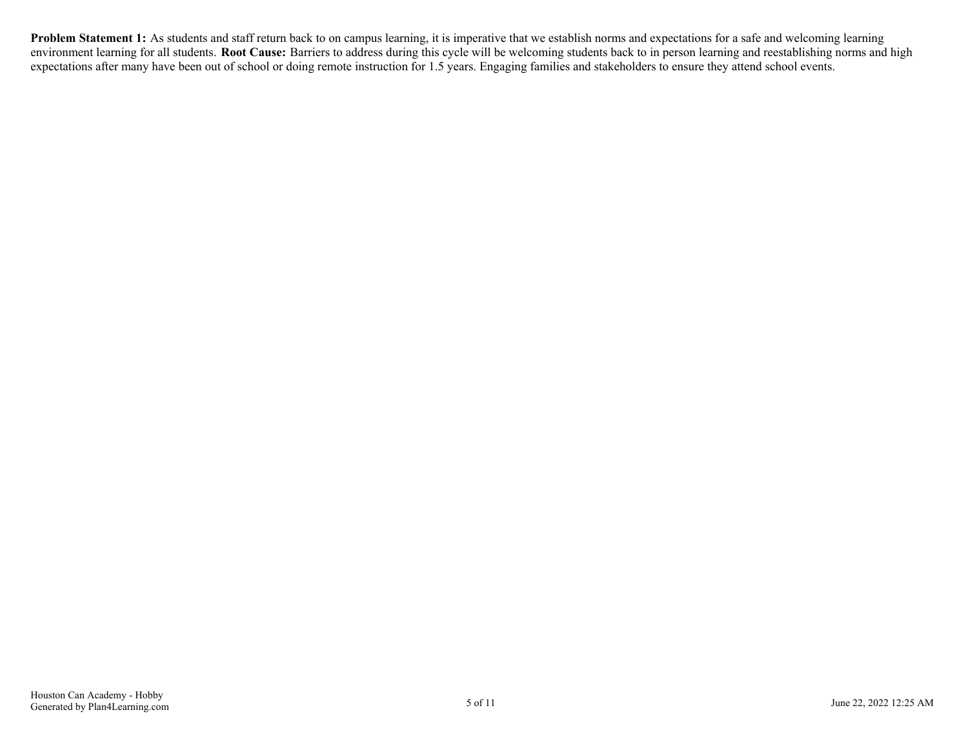**Problem Statement 1:** As students and staff return back to on campus learning, it is imperative that we establish norms and expectations for a safe and welcoming learning environment learning for all students. **Root Cause:** Barriers to address during this cycle will be welcoming students back to in person learning and reestablishing norms and high expectations after many have been out of school or doing remote instruction for 1.5 years. Engaging families and stakeholders to ensure they attend school events.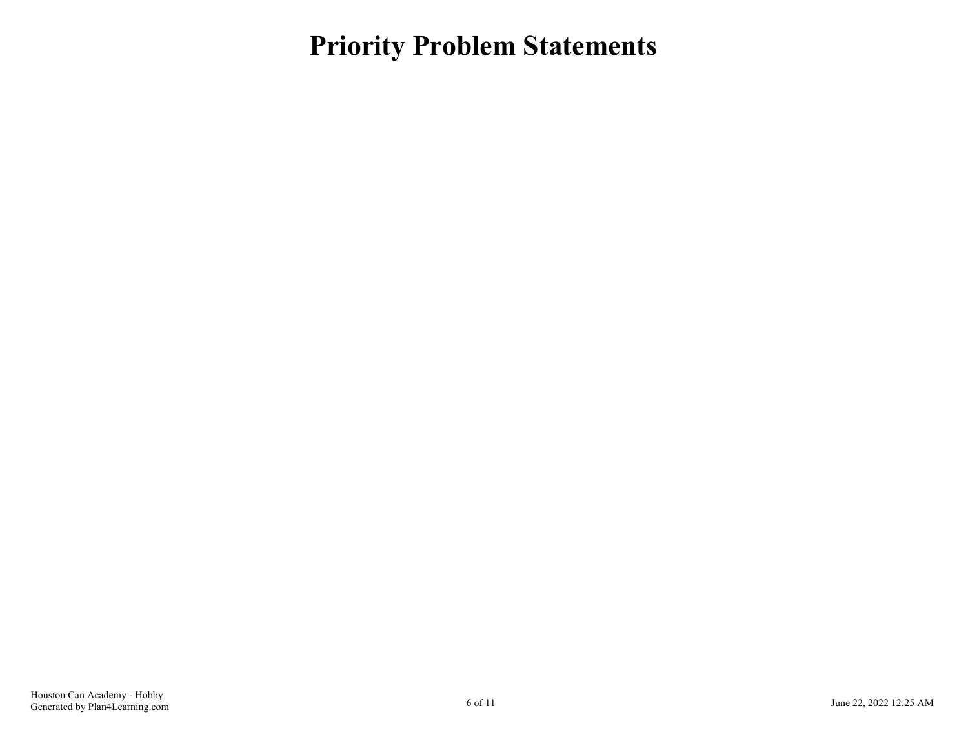<span id="page-5-0"></span>**Priority Problem Statements**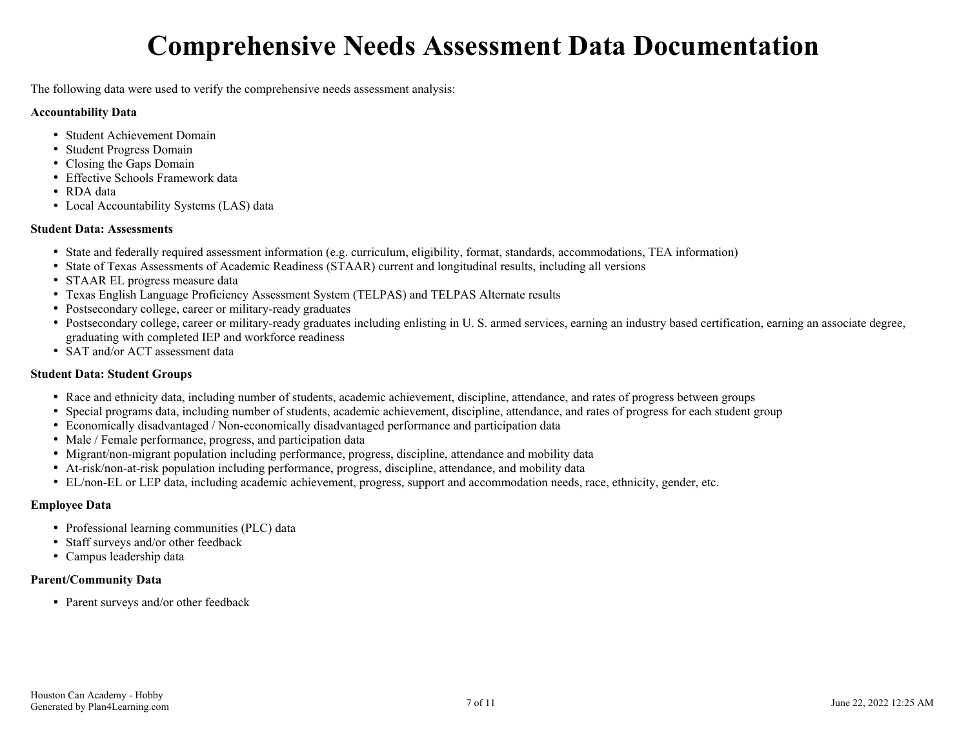# **Comprehensive Needs Assessment Data Documentation**

<span id="page-6-0"></span>The following data were used to verify the comprehensive needs assessment analysis:

#### **Accountability Data**

- Student Achievement Domain
- Student Progress Domain
- Closing the Gaps Domain
- Effective Schools Framework data
- RDA data
- Local Accountability Systems (LAS) data

#### **Student Data: Assessments**

- State and federally required assessment information (e.g. curriculum, eligibility, format, standards, accommodations, TEA information)
- State of Texas Assessments of Academic Readiness (STAAR) current and longitudinal results, including all versions
- STAAR EL progress measure data
- Texas English Language Proficiency Assessment System (TELPAS) and TELPAS Alternate results
- Postsecondary college, career or military-ready graduates
- Postsecondary college, career or military-ready graduates including enlisting in U. S. armed services, earning an industry based certification, earning an associate degree, graduating with completed IEP and workforce readiness
- SAT and/or ACT assessment data

#### **Student Data: Student Groups**

- Race and ethnicity data, including number of students, academic achievement, discipline, attendance, and rates of progress between groups
- Special programs data, including number of students, academic achievement, discipline, attendance, and rates of progress for each student group
- Economically disadvantaged / Non-economically disadvantaged performance and participation data
- Male / Female performance, progress, and participation data
- Migrant/non-migrant population including performance, progress, discipline, attendance and mobility data
- At-risk/non-at-risk population including performance, progress, discipline, attendance, and mobility data
- EL/non-EL or LEP data, including academic achievement, progress, support and accommodation needs, race, ethnicity, gender, etc.

### **Employee Data**

- Professional learning communities (PLC) data
- Staff surveys and/or other feedback
- Campus leadership data

### **Parent/Community Data**

• Parent surveys and/or other feedback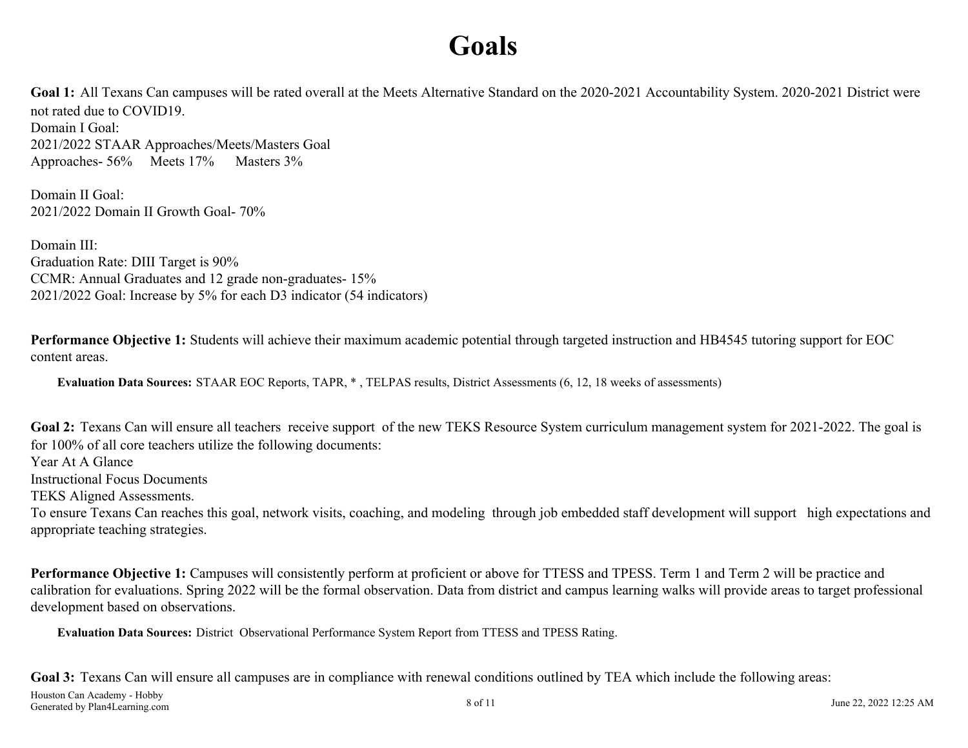# **Goals**

<span id="page-7-0"></span>Goal 1: All Texans Can campuses will be rated overall at the Meets Alternative Standard on the 2020-2021 Accountability System. 2020-2021 District were not rated due to COVID19. Domain I Goal: 2021/2022 STAAR Approaches/Meets/Masters Goal Approaches- 56% Meets 17% Masters 3%

Domain II Goal: 2021/2022 Domain II Growth Goal- 70%

Domain III<sup>.</sup> Graduation Rate: DIII Target is 90% CCMR: Annual Graduates and 12 grade non-graduates- 15% 2021/2022 Goal: Increase by 5% for each D3 indicator (54 indicators)

**Performance Objective 1:** Students will achieve their maximum academic potential through targeted instruction and HB4545 tutoring support for EOC content areas.

**Evaluation Data Sources:** STAAR EOC Reports, TAPR, \* , TELPAS results, District Assessments (6, 12, 18 weeks of assessments)

Goal 2: Texans Can will ensure all teachers receive support of the new TEKS Resource System curriculum management system for 2021-2022. The goal is for 100% of all core teachers utilize the following documents:

Year At A Glance

Instructional Focus Documents

TEKS Aligned Assessments.

To ensure Texans Can reaches this goal, network visits, coaching, and modeling through job embedded staff development will support high expectations and appropriate teaching strategies.

**Performance Objective 1:** Campuses will consistently perform at proficient or above for TTESS and TPESS. Term 1 and Term 2 will be practice and calibration for evaluations. Spring 2022 will be the formal observation. Data from district and campus learning walks will provide areas to target professional development based on observations.

**Evaluation Data Sources:** District Observational Performance System Report from TTESS and TPESS Rating.

Goal 3: Texans Can will ensure all campuses are in compliance with renewal conditions outlined by TEA which include the following areas: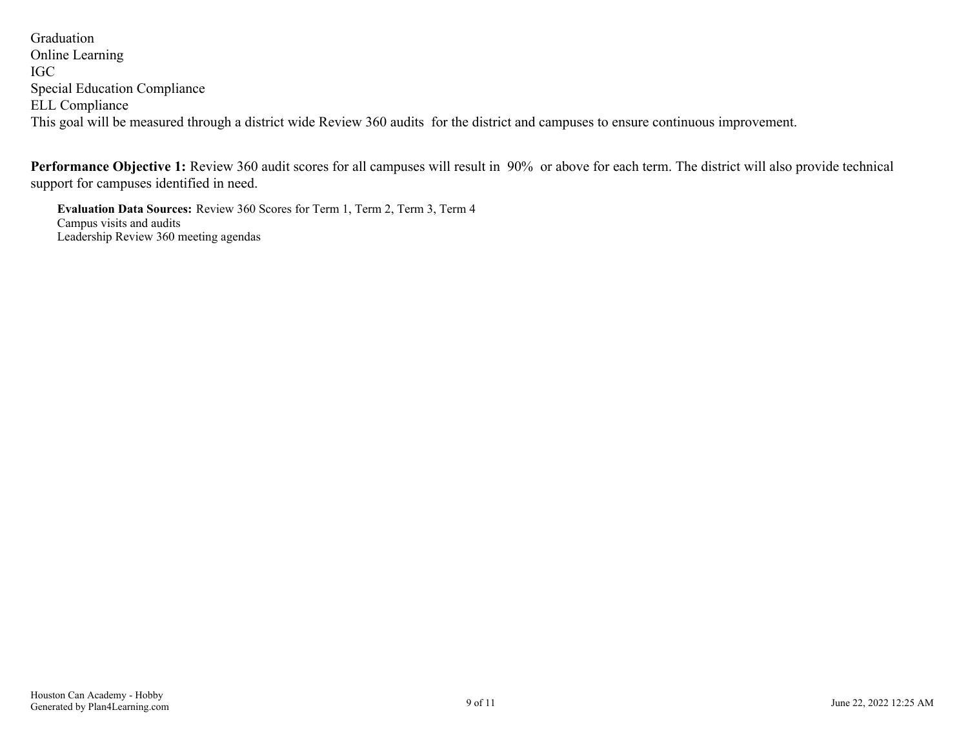Graduation Online Learning IGC Special Education Compliance ELL Compliance This goal will be measured through a district wide Review 360 audits for the district and campuses to ensure continuous improvement.

**Performance Objective 1:** Review 360 audit scores for all campuses will result in 90% or above for each term. The district will also provide technical support for campuses identified in need.

**Evaluation Data Sources:** Review 360 Scores for Term 1, Term 2, Term 3, Term 4 Campus visits and audits Leadership Review 360 meeting agendas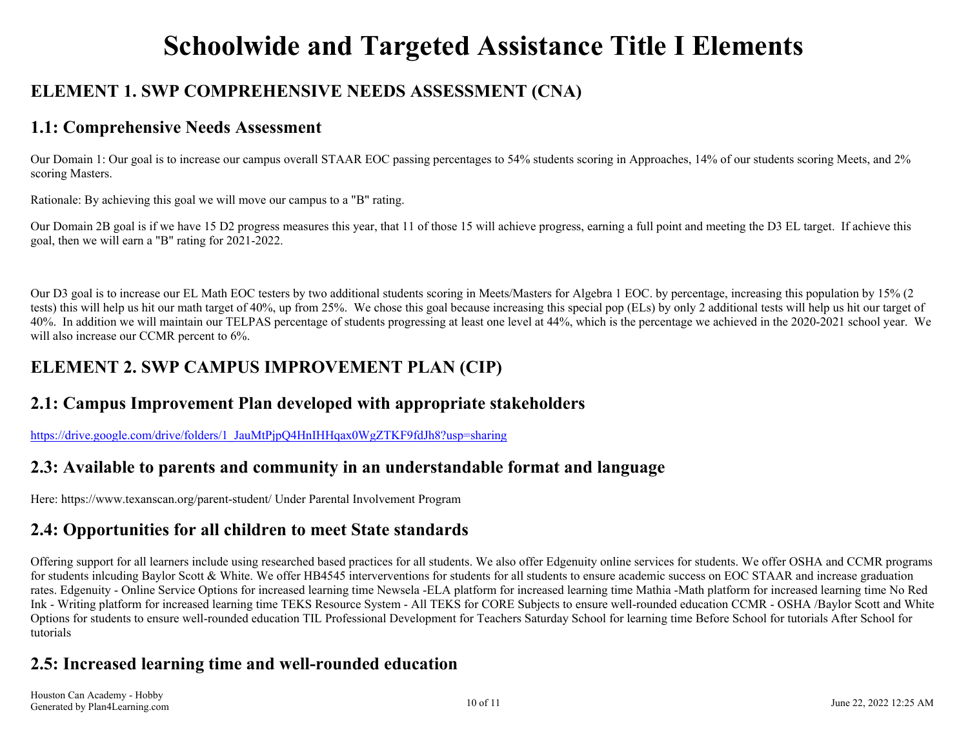# **Schoolwide and Targeted Assistance Title I Elements**

## <span id="page-9-0"></span>**ELEMENT 1. SWP COMPREHENSIVE NEEDS ASSESSMENT (CNA)**

### **1.1: Comprehensive Needs Assessment**

Our Domain 1: Our goal is to increase our campus overall STAAR EOC passing percentages to 54% students scoring in Approaches, 14% of our students scoring Meets, and 2% scoring Masters.

Rationale: By achieving this goal we will move our campus to a "B" rating.

Our Domain 2B goal is if we have 15 D2 progress measures this year, that 11 of those 15 will achieve progress, earning a full point and meeting the D3 EL target. If achieve this goal, then we will earn a "B" rating for 2021-2022.

Our D3 goal is to increase our EL Math EOC testers by two additional students scoring in Meets/Masters for Algebra 1 EOC. by percentage, increasing this population by 15% (2 tests) this will help us hit our math target of 40%, up from 25%. We chose this goal because increasing this special pop (ELs) by only 2 additional tests will help us hit our target of 40%. In addition we will maintain our TELPAS percentage of students progressing at least one level at 44%, which is the percentage we achieved in the 2020-2021 school year. We will also increase our CCMR percent to  $6\%$ .

## **ELEMENT 2. SWP CAMPUS IMPROVEMENT PLAN (CIP)**

### **2.1: Campus Improvement Plan developed with appropriate stakeholders**

[https://drive.google.com/drive/folders/1\\_JauMtPjpQ4HnIHHqax0WgZTKF9fdJh8?usp=sharing](https://drive.google.com/drive/folders/1_JauMtPjpQ4HnIHHqax0WgZTKF9fdJh8?usp=sharing)

### **2.3: Available to parents and community in an understandable format and language**

Here: https://www.texanscan.org/parent-student/ Under Parental Involvement Program

## **2.4: Opportunities for all children to meet State standards**

Offering support for all learners include using researched based practices for all students. We also offer Edgenuity online services for students. We offer OSHA and CCMR programs for students inlcuding Baylor Scott & White. We offer HB4545 interverventions for students for all students to ensure academic success on EOC STAAR and increase graduation rates. Edgenuity - Online Service Options for increased learning time Newsela -ELA platform for increased learning time Mathia -Math platform for increased learning time No Red Ink - Writing platform for increased learning time TEKS Resource System - All TEKS for CORE Subjects to ensure well-rounded education CCMR - OSHA /Baylor Scott and White Options for students to ensure well-rounded education TIL Professional Development for Teachers Saturday School for learning time Before School for tutorials After School for tutorials

## **2.5: Increased learning time and well-rounded education**